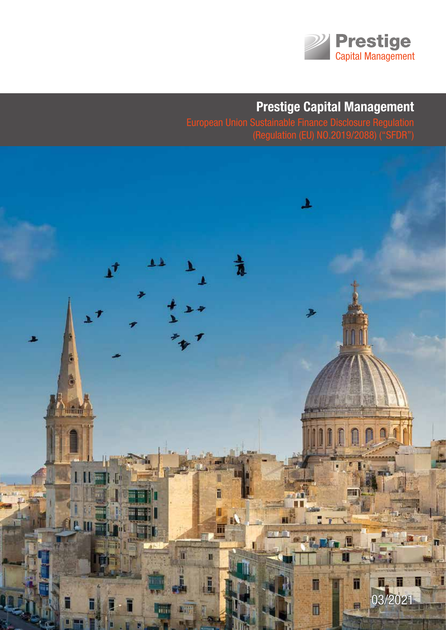

# **Prestige Capital Management**

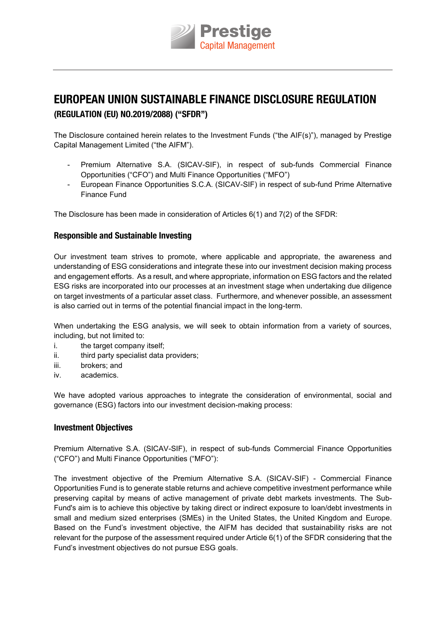

# **EUROPEAN UNION SUSTAINABLE FINANCE DISCLOSURE REGULATION (REGULATION (EU) NO.2019/2088) ("SFDR")**

The Disclosure contained herein relates to the Investment Funds ("the AIF(s)"), managed by Prestige capital Management limited ("the AIFM").

- Premium Alternative S.A. (SICAV-SIF), in respect of sub-funds Commercial Finance Opportunities ("CFO") and Multi Finance Opportunities ("MFO")
- European Finance Opportunities S.C.A. (SICAV-SIF) in respect of sub-fund Prime Alternative Finance Fund

The Disclosure has been made in consideration of Articles  $6(1)$  and  $7(2)$  of the SFDR:

#### **Responsible and Sustainable Investing**

Our investment team strives to promote, where applicable and appropriate, the awareness and understanding of eSG considerations and integrate these into our investment decision making process and engagement efforts. As a result, and where appropriate, information on ESG factors and the related ESG risks are incorporated into our processes at an investment stage when undertaking due diligence on target investments of a particular asset class. Furthermore, and whenever possible, an assessment is also carried out in terms of the potential financial impact in the long-term.

When undertaking the ESG analysis, we will seek to obtain information from a variety of sources, including, but not limited to:

- i. the target company itself;
- ii. third party specialist data providers;
- iii. brokers; and
- iv. academics.

We have adopted various approaches to integrate the consideration of environmental, social and governance (ESG) factors into our investment decision-making process:

#### **Investment Objectives**

Premium alternative S.a. (SIcav-SIF), in respect of sub-funds commercial Finance opportunities ("CFO") and Multi Finance Opportunities ("MFO"):

The investment objective of the Premium Alternative S.A. (SICAV-SIF) - Commercial Finance opportunities Fund is to generate stable returns and achieve competitive investment performance while preserving capital by means of active management of private debt markets investments. the Sub-Fund's aim is to achieve this objective by taking direct or indirect exposure to loan/debt investments in small and medium sized enterprises (SMEs) in the United States, the United Kingdom and Europe. Based on the Fund's investment objective, the AIFM has decided that sustainability risks are not relevant for the purpose of the assessment required under Article 6(1) of the SFDR considering that the Fund's investment objectives do not pursue ESG goals.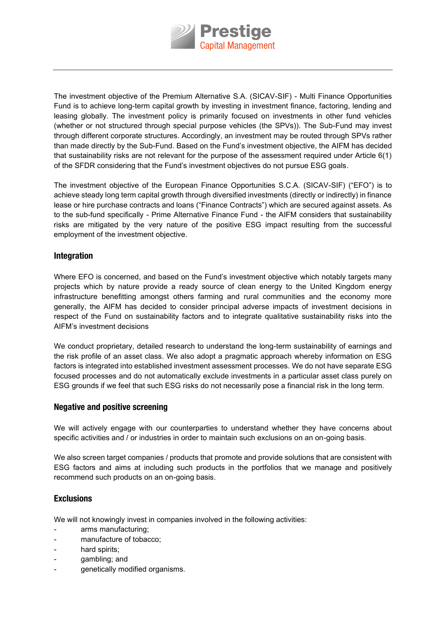

the investment objective of the Premium alternative S.a. (SIcav-SIF) - Multi Finance opportunities Fund is to achieve long-term capital growth by investing in investment finance, factoring, lending and leasing globally. The investment policy is primarily focused on investments in other fund vehicles (whether or not structured through special purpose vehicles (the SPVs)). The Sub-Fund may invest through different corporate structures. accordingly, an investment may be routed through SPvs rather than made directly by the Sub-Fund. Based on the Fund's investment objective, the AIFM has decided that sustainability risks are not relevant for the purpose of the assessment required under Article 6(1) of the SFDR considering that the Fund's investment objectives do not pursue ESG goals.

The investment objective of the European Finance Opportunities S.C.A. (SICAV-SIF) ("EFO") is to achieve steady long term capital growth through diversified investments (directly or indirectly) in finance lease or hire purchase contracts and loans ("Finance Contracts") which are secured against assets. as to the sub-fund specifically - Prime Alternative Finance Fund - the AIFM considers that sustainability risks are mitigated by the very nature of the positive ESG impact resulting from the successful employment of the investment objective.

#### **Integration**

Where EFO is concerned, and based on the Fund's investment objective which notably targets many projects which by nature provide a ready source of clean energy to the United Kingdom energy infrastructure benefitting amongst others farming and rural communities and the economy more generally, the aIFM has decided to consider principal adverse impacts of investment decisions in respect of the Fund on sustainability factors and to integrate qualitative sustainability risks into the AIFM's investment decisions

We conduct proprietary, detailed research to understand the long-term sustainability of earnings and the risk profile of an asset class. We also adopt a pragmatic approach whereby information on eSG factors is integrated into established investment assessment processes. We do not have separate ESG focused processes and do not automatically exclude investments in a particular asset class purely on ESG grounds if we feel that such ESG risks do not necessarily pose a financial risk in the long term.

#### **Negative and positive screening**

We will actively engage with our counterparties to understand whether they have concerns about specific activities and / or industries in order to maintain such exclusions on an on-going basis.

We also screen target companies / products that promote and provide solutions that are consistent with eSG factors and aims at including such products in the portfolios that we manage and positively recommend such products on an on-going basis.

#### **Exclusions**

We will not knowingly invest in companies involved in the following activities:

- arms manufacturing;
- manufacture of tobacco;
- hard spirits;
- gambling; and
- genetically modified organisms.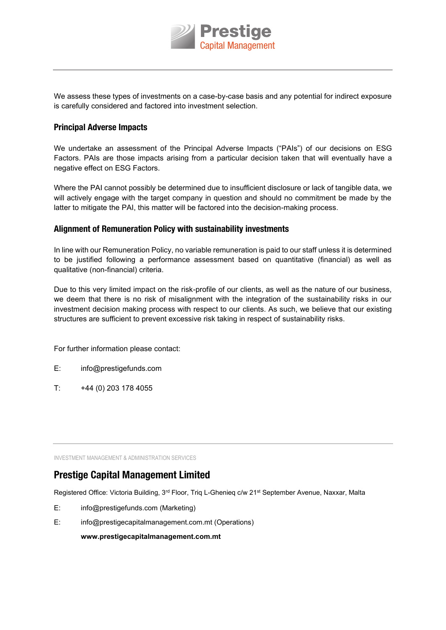

We assess these types of investments on a case-by-case basis and any potential for indirect exposure is carefully considered and factored into investment selection.

#### **Principal Adverse Impacts**

We undertake an assessment of the Principal Adverse Impacts ("PAIs") of our decisions on ESG Factors. PAIs are those impacts arising from a particular decision taken that will eventually have a negative effect on ESG Factors.

Where the PaI cannot possibly be determined due to insufficient disclosure or lack of tangible data, we will actively engage with the target company in question and should no commitment be made by the latter to mitigate the PaI, this matter will be factored into the decision-making process.

#### **Alignment of Remuneration Policy with sustainability investments**

In line with our Remuneration Policy, no variable remuneration is paid to our staff unless it is determined to be justified following a performance assessment based on quantitative (financial) as well as qualitative (non-financial) criteria.

Due to this very limited impact on the risk-profile of our clients, as well as the nature of our business, we deem that there is no risk of misalignment with the integration of the sustainability risks in our investment decision making process with respect to our clients. as such, we believe that our existing structures are sufficient to prevent excessive risk taking in respect of sustainability risks.

For further information please contact:

- e: info@prestigefunds.com
- $T:$  +44 (0) 203 178 4055

INVESTMENT MANAGEMENT & ADMINISTRATION SERVICES

## **Prestige Capital Management Limited**

Registered Office: Victoria Building, 3<sup>rd</sup> Floor, Triq L-Ghenieq c/w 21<sup>st</sup> September Avenue, Naxxar, Malta

- e: info@prestigefunds.com (Marketing)
- E: info@prestigecapitalmanagement.com.mt (Operations)

**www.prestigecapitalmanagement.com.mt**